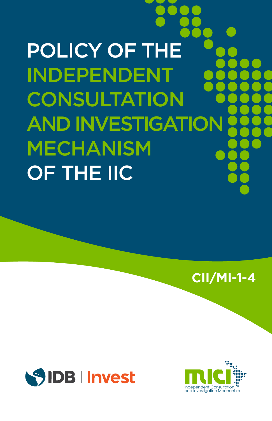POLICY OF THE INDEPENDENT **CONSULTATION** AND INVESTIGATION MECHANISM OF THE IIC

**CII/MI-1-4**



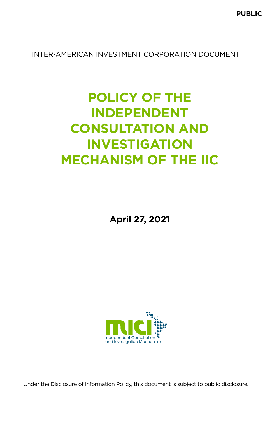INTER-AMERICAN INVESTMENT CORPORATION DOCUMENT

# **POLICY OF THE INDEPENDENT CONSULTATION AND INVESTIGATION MECHANISM OF THE IIC**

**April 27, 2021**



Under the Disclosure of Information Policy, this document is subject to public disclosure.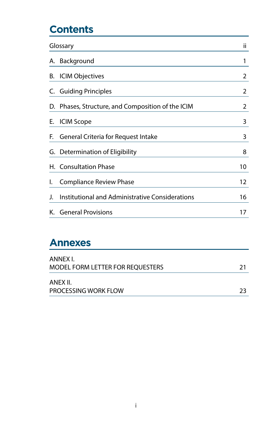# **Contents**

| Glossary |                                                   | ii |
|----------|---------------------------------------------------|----|
|          | A. Background                                     | 1  |
|          | B. ICIM Objectives                                | 2  |
|          | C. Guiding Principles                             | 2  |
|          | D. Phases, Structure, and Composition of the ICIM | 2  |
|          | E. ICIM Scope                                     | 3  |
| F.       | General Criteria for Request Intake               | 3  |
|          | G. Determination of Eligibility                   | 8  |
|          | H. Consultation Phase                             | 10 |
| I.       | Compliance Review Phase                           | 12 |
| J.       | Institutional and Administrative Considerations   | 16 |
|          | K. General Provisions                             | 17 |

### **Annexes**

| ANNEX I.<br>MODEL FORM LETTER FOR REOUESTERS | 21 |
|----------------------------------------------|----|
| ANEX II.<br>PROCESSING WORK FLOW             | つっ |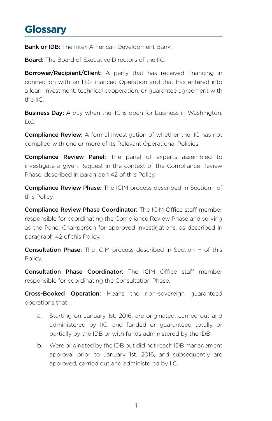### **Glossary**

Bank or IDB: The Inter-American Development Bank.

Board: The Board of Executive Directors of the IIC.

**Borrower/Recipient/Client:** A party that has received financing in connection with an IIC-Financed Operation and that has entered into a loan, investment, technical cooperation, or guarantee agreement with the IIC.

**Business Day:** A day when the IIC is open for business in Washington, D.C.

**Compliance Review:** A formal investigation of whether the IIC has not complied with one or more of its Relevant Operational Policies.

**Compliance Review Panel:** The panel of experts assembled to investigate a given Request in the context of the Compliance Review Phase, described in paragraph 42 of this Policy.

Compliance Review Phase: The ICIM process described in Section I of this Policy.

Compliance Review Phase Coordinator: The ICIM Office staff member responsible for coordinating the Compliance Review Phase and serving as the Panel Chairperson for approved investigations, as described in paragraph 42 of this Policy.

Consultation Phase: The ICIM process described in Section H of this Policy.

Consultation Phase Coordinator: The ICIM Office staff member responsible for coordinating the Consultation Phase.

Cross-Booked Operation: Means the non-sovereign guaranteed operations that:

- a. Starting on January 1st, 2016, are originated, carried out and administered by IIC, and funded or guaranteed totally or partially by the IDB or with funds administered by the IDB.
- b. Were originated by the IDB but did not reach IDB management approval prior to January 1st, 2016, and subsequently are approved, carried out and administered by IIC.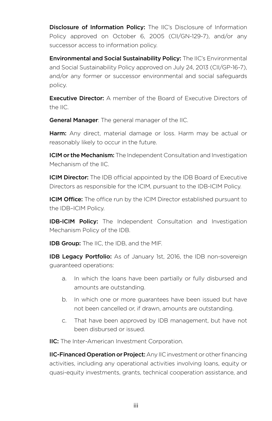<span id="page-6-0"></span>**Disclosure of Information Policy:** The IIC's Disclosure of Information Policy approved on October 6, 2005 (CII/GN-129-7), and/or any successor access to information policy.

Environmental and Social Sustainability Policy: The IIC's Environmental and Social Sustainability Policy approved on July 24, 2013 (CII/GP-16-7), and/or any former or successor environmental and social safeguards policy.

**Executive Director:** A member of the Board of Executive Directors of the IIC.

**General Manager:** The general manager of the IIC.

**Harm:** Any direct, material damage or loss. Harm may be actual or reasonably likely to occur in the future.

**ICIM or the Mechanism:** The Independent Consultation and Investigation Mechanism of the IIC.

**ICIM Director:** The IDB official appointed by the IDB Board of Executive Directors as responsible for the ICIM, pursuant to the IDB-ICIM Policy.

**ICIM Office:** The office run by the ICIM Director established pursuant to the IDB–ICIM Policy.

**IDB-ICIM Policy:** The Independent Consultation and Investigation Mechanism Policy of the IDB.

**IDB Group:** The IIC, the IDB, and the MIF.

**IDB Legacy Portfolio:** As of January 1st, 2016, the IDB non-sovereign guaranteed operations:

- a. In which the loans have been partially or fully disbursed and amounts are outstanding.
- b. In which one or more guarantees have been issued but have not been cancelled or, if drawn, amounts are outstanding.
- c. That have been approved by IDB management, but have not been disbursed or issued.

IIC: The Inter-American Investment Corporation.

**IIC-Financed Operation or Project:** Any IIC investment or other financing activities, including any operational activities involving loans, equity or quasi-equity investments, grants, technical cooperation assistance, and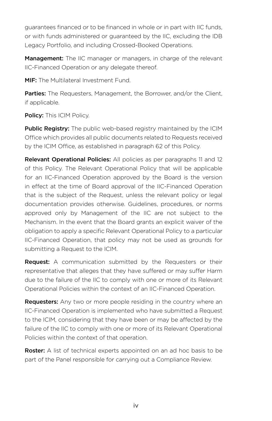guarantees financed or to be financed in whole or in part with IIC funds, or with funds administered or guaranteed by the IIC, excluding the IDB Legacy Portfolio, and including Crossed-Booked Operations.

Management: The IIC manager or managers, in charge of the relevant IIC-Financed Operation or any delegate thereof.

MIF: The Multilateral Investment Fund.

Parties: The Requesters, Management, the Borrower, and/or the Client, if applicable.

Policy: This ICIM Policy.

Public Registry: The public web-based registry maintained by the ICIM Office which provides all public documents related to Requests received by the ICIM Office, as established in paragraph 62 of this Policy.

Relevant Operational Policies: All policies as per paragraphs 11 and 12 of this Policy. The Relevant Operational Policy that will be applicable for an IIC-Financed Operation approved by the Board is the version in effect at the time of Board approval of the IIC-Financed Operation that is the subject of the Request, unless the relevant policy or legal documentation provides otherwise. Guidelines, procedures, or norms approved only by Management of the IIC are not subject to the Mechanism. In the event that the Board grants an explicit waiver of the obligation to apply a specific Relevant Operational Policy to a particular IIC-Financed Operation, that policy may not be used as grounds for submitting a Request to the ICIM.

**Request:** A communication submitted by the Requesters or their representative that alleges that they have suffered or may suffer Harm due to the failure of the IIC to comply with one or more of its Relevant Operational Policies within the context of an IIC-Financed Operation.

**Requesters:** Any two or more people residing in the country where an IIC-Financed Operation is implemented who have submitted a Request to the ICIM, considering that they have been or may be affected by the failure of the IIC to comply with one or more of its Relevant Operational Policies within the context of that operation.

**Roster:** A list of technical experts appointed on an ad hoc basis to be part of the Panel responsible for carrying out a Compliance Review.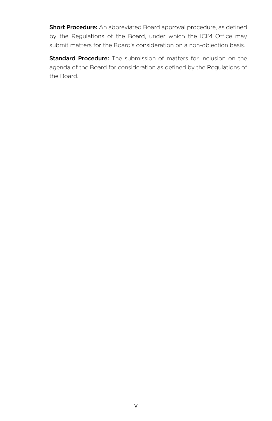Short Procedure: An abbreviated Board approval procedure, as defined by the Regulations of the Board, under which the ICIM Office may submit matters for the Board's consideration on a non-objection basis.

**Standard Procedure:** The submission of matters for inclusion on the agenda of the Board for consideration as defined by the Regulations of the Board.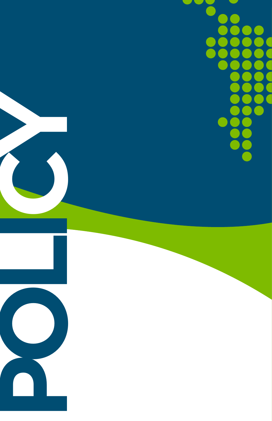r i ſ d. ● T T ŋ T ſ J Ē ſ Ĭ

**POLI**

**CY**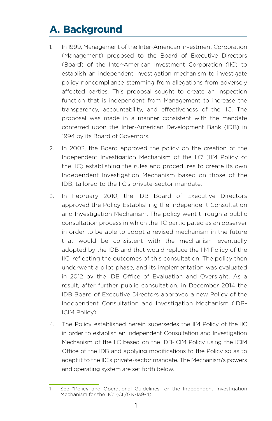# <span id="page-10-0"></span>**A. Background**

- 1. In 1999, Management of the Inter-American Investment Corporation (Management) proposed to the Board of Executive Directors (Board) of the Inter-American Investment Corporation (IIC) to establish an independent investigation mechanism to investigate policy noncompliance stemming from allegations from adversely affected parties. This proposal sought to create an inspection function that is independent from Management to increase the transparency, accountability, and effectiveness of the IIC. The proposal was made in a manner consistent with the mandate conferred upon the Inter-American Development Bank (IDB) in 1994 by its Board of Governors.
- 2. In 2002, the Board approved the policy on the creation of the Independent Investigation Mechanism of the IIC<sup>1</sup> (IIM Policy of the IIC) establishing the rules and procedures to create its own Independent Investigation Mechanism based on those of the IDB, tailored to the IIC's private-sector mandate.
- 3. In February 2010, the IDB Board of Executive Directors approved the Policy Establishing the Independent Consultation and Investigation Mechanism. The policy went through a public consultation process in which the IIC participated as an observer in order to be able to adopt a revised mechanism in the future that would be consistent with the mechanism eventually adopted by the IDB and that would replace the IIM Policy of the IIC, reflecting the outcomes of this consultation. The policy then underwent a pilot phase, and its implementation was evaluated in 2012 by the IDB Office of Evaluation and Oversight. As a result, after further public consultation, in December 2014 the IDB Board of Executive Directors approved a new Policy of the Independent Consultation and Investigation Mechanism (IDB-ICIM Policy).
- 4. The Policy established herein supersedes the IIM Policy of the IIC in order to establish an Independent Consultation and Investigation Mechanism of the IIC based on the IDB-ICIM Policy using the ICIM Office of the IDB and applying modifications to the Policy so as to adapt it to the IIC's private-sector mandate. The Mechanism's powers and operating system are set forth below.

See "Policy and Operational Guidelines for the Independent Investigation Mechanism for the IIC" (CII/GN-139-4).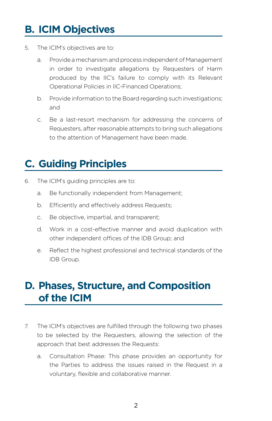# <span id="page-11-0"></span>**B. ICIM Objectives**

- 5. The ICIM's objectives are to:
	- a. Provide a mechanism and process independent of Management in order to investigate allegations by Requesters of Harm produced by the IIC's failure to comply with its Relevant Operational Policies in IIC-Financed Operations;
	- b. Provide information to the Board regarding such investigations; and
	- c. Be a last-resort mechanism for addressing the concerns of Requesters, after reasonable attempts to bring such allegations to the attention of Management have been made.

# **C. Guiding Principles**

- 6. The ICIM's guiding principles are to:
	- a. Be functionally independent from Management;
	- b. Efficiently and effectively address Requests;
	- c. Be objective, impartial, and transparent;
	- d. Work in a cost-effective manner and avoid duplication with other independent offices of the IDB Group; and
	- e. Reflect the highest professional and technical standards of the IDB Group.

### **D. Phases, Structure, and Composition of the ICIM**

- 7. The ICIM's objectives are fulfilled through the following two phases to be selected by the Requesters, allowing the selection of the approach that best addresses the Requests:
	- a. Consultation Phase: This phase provides an opportunity for the Parties to address the issues raised in the Request in a voluntary, flexible and collaborative manner.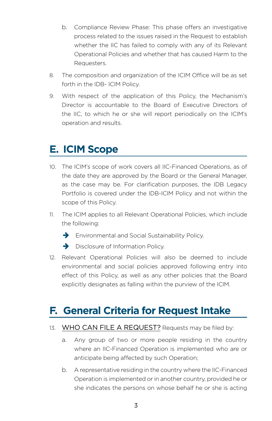- <span id="page-12-0"></span>b. Compliance Review Phase: This phase offers an investigative process related to the issues raised in the Request to establish whether the IIC has failed to comply with any of its Relevant Operational Policies and whether that has caused Harm to the Requesters.
- 8. The composition and organization of the ICIM Office will be as set forth in the IDB- ICIM Policy.
- 9. With respect of the application of this Policy, the Mechanism's Director is accountable to the Board of Executive Directors of the IIC, to which he or she will report periodically on the ICIM's operation and results.

### **E. ICIM Scope**

- 10. The ICIM's scope of work covers all IIC-Financed Operations, as of the date they are approved by the Board or the General Manager, as the case may be. For clarification purposes, the IDB Legacy Portfolio is covered under the IDB-ICIM Policy and not within the scope of this Policy.
- 11. The ICIM applies to all Relevant Operational Policies, which include the following:
	- $\rightarrow$  Environmental and Social Sustainability Policy.
	- $\rightarrow$  Disclosure of Information Policy.
- 12. Relevant Operational Policies will also be deemed to include environmental and social policies approved following entry into effect of this Policy, as well as any other policies that the Board explicitly designates as falling within the purview of the ICIM.

### **F. General Criteria for Request Intake**

#### 13. WHO CAN FILE A REQUEST? Requests may be filed by:

- a. Any group of two or more people residing in the country where an IIC-Financed Operation is implemented who are or anticipate being affected by such Operation;
- b. A representative residing in the country where the IIC-Financed Operation is implemented or in another country, provided he or she indicates the persons on whose behalf he or she is acting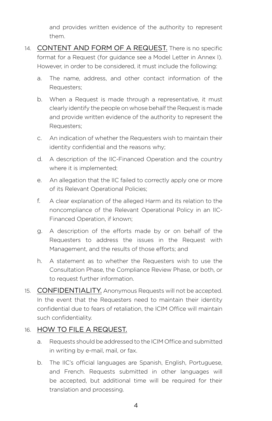and provides written evidence of the authority to represent them.

- 14. CONTENT AND FORM OF A REQUEST. There is no specific format for a Request (for guidance see a Model Letter in Annex I). However, in order to be considered, it must include the following:
	- a. The name, address, and other contact information of the Requesters;
	- b. When a Request is made through a representative, it must clearly identify the people on whose behalf the Request is made and provide written evidence of the authority to represent the Requesters;
	- c. An indication of whether the Requesters wish to maintain their identity confidential and the reasons why;
	- d. A description of the IIC-Financed Operation and the country where it is implemented;
	- e. An allegation that the IIC failed to correctly apply one or more of its Relevant Operational Policies;
	- f. A clear explanation of the alleged Harm and its relation to the noncompliance of the Relevant Operational Policy in an IIC-Financed Operation, if known;
	- g. A description of the efforts made by or on behalf of the Requesters to address the issues in the Request with Management, and the results of those efforts; and
	- h. A statement as to whether the Requesters wish to use the Consultation Phase, the Compliance Review Phase, or both, or to request further information.
- 15. CONFIDENTIALITY. Anonymous Requests will not be accepted. In the event that the Requesters need to maintain their identity confidential due to fears of retaliation, the ICIM Office will maintain such confidentiality.

#### 16. HOW TO FILE A REQUEST.

- a. Requests should be addressed to the ICIM Office and submitted in writing by e-mail, mail, or fax.
- b. The IIC's official languages are Spanish, English, Portuguese, and French. Requests submitted in other languages will be accepted, but additional time will be required for their translation and processing.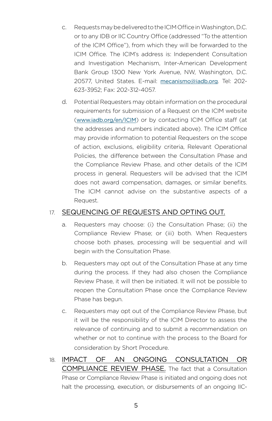- c. Requests may be delivered to the ICIM Office in Washington, D.C. or to any IDB or IIC Country Office (addressed "To the attention of the ICIM Office"), from which they will be forwarded to the ICIM Office. The ICIM's address is: Independent Consultation and Investigation Mechanism, Inter-American Development Bank Group 1300 New York Avenue, NW, Washington, D.C. 20577, United States. E-mail: [mecanismo@iadb.org](mailto:mecanismo@iadb.org). Tel: 202- 623-3952; Fax: 202-312-4057.
- d. Potential Requesters may obtain information on the procedural requirements for submission of a Request on the ICIM website ([www.iadb.org/en/ICIM](http://www.iadb.org/en/mici)) or by contacting ICIM Office staff (at the addresses and numbers indicated above). The ICIM Office may provide information to potential Requesters on the scope of action, exclusions, eligibility criteria, Relevant Operational Policies, the difference between the Consultation Phase and the Compliance Review Phase, and other details of the ICIM process in general. Requesters will be advised that the ICIM does not award compensation, damages, or similar benefits. The ICIM cannot advise on the substantive aspects of a Request.

#### 17. SEQUENCING OF REQUESTS AND OPTING OUT.

- a. Requesters may choose: (i) the Consultation Phase; (ii) the Compliance Review Phase; or (iii) both. When Requesters choose both phases, processing will be sequential and will begin with the Consultation Phase.
- b. Requesters may opt out of the Consultation Phase at any time during the process. If they had also chosen the Compliance Review Phase, it will then be initiated. It will not be possible to reopen the Consultation Phase once the Compliance Review Phase has begun.
- c. Requesters may opt out of the Compliance Review Phase, but it will be the responsibility of the ICIM Director to assess the relevance of continuing and to submit a recommendation on whether or not to continue with the process to the Board for consideration by Short Procedure.
- 18. IMPACT OF AN ONGOING CONSULTATION OR COMPLIANCE REVIEW PHASE. The fact that a Consultation Phase or Compliance Review Phase is initiated and ongoing does not halt the processing, execution, or disbursements of an ongoing IIC-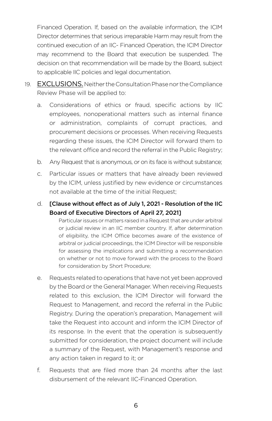Financed Operation. If, based on the available information, the ICIM Director determines that serious irreparable Harm may result from the continued execution of an IIC- Financed Operation, the ICIM Director may recommend to the Board that execution be suspended. The decision on that recommendation will be made by the Board, subject to applicable IIC policies and legal documentation.

- 19. EXCLUSIONS. Neither the Consultation Phase nor the Compliance Review Phase will be applied to:
	- a. Considerations of ethics or fraud, specific actions by IIC employees, nonoperational matters such as internal finance or administration, complaints of corrupt practices, and procurement decisions or processes. When receiving Requests regarding these issues, the ICIM Director will forward them to the relevant office and record the referral in the Public Registry;
	- b. Any Request that is anonymous, or on its face is without substance;
	- c. Particular issues or matters that have already been reviewed by the ICIM, unless justified by new evidence or circumstances not available at the time of the initial Request;
	- d. [Clause without effect as of July 1, 2021 Resolution of the IIC Board of Executive Directors of April 27, 2021]

Particular issues or matters raised in a Request that are under arbitral or judicial review in an IIC member country. If, after determination of eligibility, the ICIM Office becomes aware of the existence of arbitral or judicial proceedings, the ICIM Director will be responsible for assessing the implications and submitting a recommendation on whether or not to move forward with the process to the Board for consideration by Short Procedure;

- e. Requests related to operations that have not yet been approved by the Board or the General Manager. When receiving Requests related to this exclusion, the ICIM Director will forward the Request to Management, and record the referral in the Public Registry. During the operation's preparation, Management will take the Request into account and inform the ICIM Director of its response. In the event that the operation is subsequently submitted for consideration, the project document will include a summary of the Request, with Management's response and any action taken in regard to it; or
- f. Requests that are filed more than 24 months after the last disbursement of the relevant IIC-Financed Operation.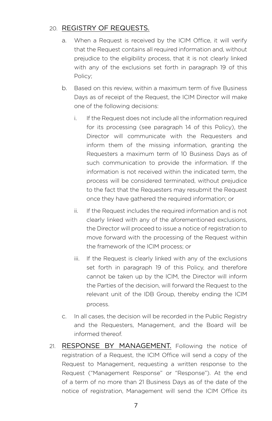#### 20. REGISTRY OF REQUESTS.

- a. When a Request is received by the ICIM Office, it will verify that the Request contains all required information and, without prejudice to the eligibility process, that it is not clearly linked with any of the exclusions set forth in paragraph 19 of this Policy;
- b. Based on this review, within a maximum term of five Business Days as of receipt of the Request, the ICIM Director will make one of the following decisions:
	- i. If the Request does not include all the information required for its processing (see paragraph 14 of this Policy), the Director will communicate with the Requesters and inform them of the missing information, granting the Requesters a maximum term of 10 Business Days as of such communication to provide the information. If the information is not received within the indicated term, the process will be considered terminated, without prejudice to the fact that the Requesters may resubmit the Request once they have gathered the required information; or
	- ii. If the Request includes the required information and is not clearly linked with any of the aforementioned exclusions, the Director will proceed to issue a notice of registration to move forward with the processing of the Request within the framework of the ICIM process; or
	- iii. If the Request is clearly linked with any of the exclusions set forth in paragraph 19 of this Policy, and therefore cannot be taken up by the ICIM, the Director will inform the Parties of the decision, will forward the Request to the relevant unit of the IDB Group, thereby ending the ICIM process.
- c. In all cases, the decision will be recorded in the Public Registry and the Requesters, Management, and the Board will be informed thereof.
- 21. RESPONSE BY MANAGEMENT. Following the notice of registration of a Request, the ICIM Office will send a copy of the Request to Management, requesting a written response to the Request ("Management Response" or "Response"). At the end of a term of no more than 21 Business Days as of the date of the notice of registration, Management will send the ICIM Office its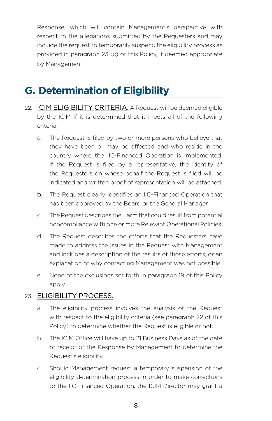<span id="page-17-0"></span>Response, which will contain Management's perspective with respect to the allegations submitted by the Requesters and may include the request to temporarily suspend the eligibility process as provided in paragraph 23 (c) of this Policy, if deemed appropriate by Management.

### **G. Determination of Eligibility**

- 22. ICIM ELIGIBILITY CRITERIA. A Request will be deemed eligible by the ICIM if it is determined that it meets all of the following criteria:
	- a. The Request is filed by two or more persons who believe that they have been or may be affected and who reside in the country where the IIC-Financed Operation is implemented. If the Request is filed by a representative, the identity of the Requesters on whose behalf the Request is filed will be indicated and written proof of representation will be attached.
	- b. The Request clearly identifies an IIC-Financed Operation that has been approved by the Board or the General Manager.
	- c. The Request describes the Harm that could result from potential noncompliance with one or more Relevant Operational Policies.
	- d. The Request describes the efforts that the Requesters have made to address the issues in the Request with Management and includes a description of the results of those efforts, or an explanation of why contacting Management was not possible.
	- e. None of the exclusions set forth in paragraph 19 of this Policy apply.

#### 23. ELIGIBILITY PROCESS.

- a. The eligibility process involves the analysis of the Request with respect to the eligibility criteria (see paragraph 22 of this Policy) to determine whether the Request is eligible or not.
- b. The ICIM Office will have up to 21 Business Days as of the date of receipt of the Response by Management to determine the Request's eligibility.
- c. Should Management request a temporary suspension of the eligibility determination process in order to make corrections to the IIC-Financed Operation, the ICIM Director may grant a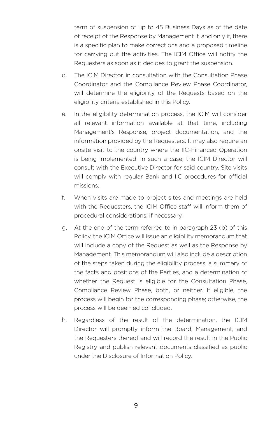term of suspension of up to 45 Business Days as of the date of receipt of the Response by Management if, and only if, there is a specific plan to make corrections and a proposed timeline for carrying out the activities. The ICIM Office will notify the Requesters as soon as it decides to grant the suspension.

- d. The ICIM Director, in consultation with the Consultation Phase Coordinator and the Compliance Review Phase Coordinator, will determine the eligibility of the Requests based on the eligibility criteria established in this Policy.
- e. In the eligibility determination process, the ICIM will consider all relevant information available at that time, including Management's Response, project documentation, and the information provided by the Requesters. It may also require an onsite visit to the country where the IIC-Financed Operation is being implemented. In such a case, the ICIM Director will consult with the Executive Director for said country. Site visits will comply with regular Bank and IIC procedures for official missions.
- f. When visits are made to project sites and meetings are held with the Requesters, the ICIM Office staff will inform them of procedural considerations, if necessary.
- g. At the end of the term referred to in paragraph 23 (b) of this Policy, the ICIM Office will issue an eligibility memorandum that will include a copy of the Request as well as the Response by Management. This memorandum will also include a description of the steps taken during the eligibility process, a summary of the facts and positions of the Parties, and a determination of whether the Request is eligible for the Consultation Phase, Compliance Review Phase, both, or neither. If eligible, the process will begin for the corresponding phase; otherwise, the process will be deemed concluded.
- h. Regardless of the result of the determination, the ICIM Director will promptly inform the Board, Management, and the Requesters thereof and will record the result in the Public Registry and publish relevant documents classified as public under the Disclosure of Information Policy.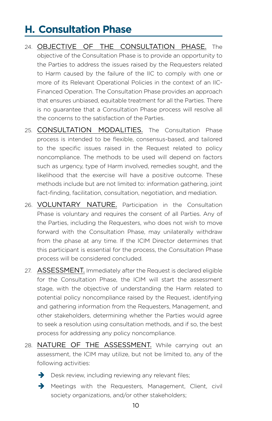# <span id="page-19-0"></span>**H. Consultation Phase**

- 24. OBJECTIVE OF THE CONSULTATION PHASE. The objective of the Consultation Phase is to provide an opportunity to the Parties to address the issues raised by the Requesters related to Harm caused by the failure of the IIC to comply with one or more of its Relevant Operational Policies in the context of an IIC-Financed Operation. The Consultation Phase provides an approach that ensures unbiased, equitable treatment for all the Parties. There is no guarantee that a Consultation Phase process will resolve all the concerns to the satisfaction of the Parties.
- 25. CONSULTATION MODALITIES. The Consultation Phase process is intended to be flexible, consensus-based, and tailored to the specific issues raised in the Request related to policy noncompliance. The methods to be used will depend on factors such as urgency, type of Harm involved, remedies sought, and the likelihood that the exercise will have a positive outcome. These methods include but are not limited to: information gathering, joint fact-finding, facilitation, consultation, negotiation, and mediation.
- 26. VOLUNTARY NATURE. Participation in the Consultation Phase is voluntary and requires the consent of all Parties. Any of the Parties, including the Requesters, who does not wish to move forward with the Consultation Phase, may unilaterally withdraw from the phase at any time. If the ICIM Director determines that this participant is essential for the process, the Consultation Phase process will be considered concluded.
- 27. ASSESSMENT. Immediately after the Request is declared eligible for the Consultation Phase, the ICIM will start the assessment stage, with the objective of understanding the Harm related to potential policy noncompliance raised by the Request, identifying and gathering information from the Requesters, Management, and other stakeholders, determining whether the Parties would agree to seek a resolution using consultation methods, and if so, the best process for addressing any policy noncompliance.
- 28. NATURE OF THE ASSESSMENT. While carrying out an assessment, the ICIM may utilize, but not be limited to, any of the following activities:
	- $\rightarrow$  Desk review, including reviewing any relevant files;
	- $\rightarrow$  Meetings with the Requesters, Management, Client, civil society organizations, and/or other stakeholders;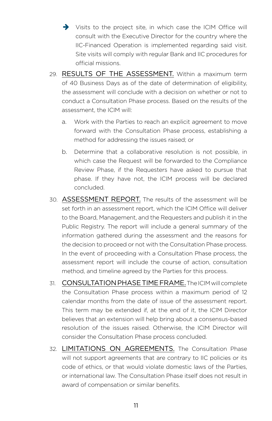- $\rightarrow$  Visits to the project site, in which case the ICIM Office will consult with the Executive Director for the country where the IIC-Financed Operation is implemented regarding said visit. Site visits will comply with regular Bank and IIC procedures for official missions.
- 29. RESULTS OF THE ASSESSMENT. Within a maximum term of 40 Business Days as of the date of determination of eligibility, the assessment will conclude with a decision on whether or not to conduct a Consultation Phase process. Based on the results of the assessment, the ICIM will:
	- a. Work with the Parties to reach an explicit agreement to move forward with the Consultation Phase process, establishing a method for addressing the issues raised; or
	- b. Determine that a collaborative resolution is not possible, in which case the Request will be forwarded to the Compliance Review Phase, if the Requesters have asked to pursue that phase. If they have not, the ICIM process will be declared concluded.
- 30. ASSESSMENT REPORT. The results of the assessment will be set forth in an assessment report, which the ICIM Office will deliver to the Board, Management, and the Requesters and publish it in the Public Registry. The report will include a general summary of the information gathered during the assessment and the reasons for the decision to proceed or not with the Consultation Phase process. In the event of proceeding with a Consultation Phase process, the assessment report will include the course of action, consultation method, and timeline agreed by the Parties for this process.
- 31. CONSULTATION PHASE TIME FRAME. The ICIM will complete the Consultation Phase process within a maximum period of 12 calendar months from the date of issue of the assessment report. This term may be extended if, at the end of it, the ICIM Director believes that an extension will help bring about a consensus-based resolution of the issues raised. Otherwise, the ICIM Director will consider the Consultation Phase process concluded.
- 32. LIMITATIONS ON AGREEMENTS. The Consultation Phase will not support agreements that are contrary to IIC policies or its code of ethics, or that would violate domestic laws of the Parties, or international law. The Consultation Phase itself does not result in award of compensation or similar benefits.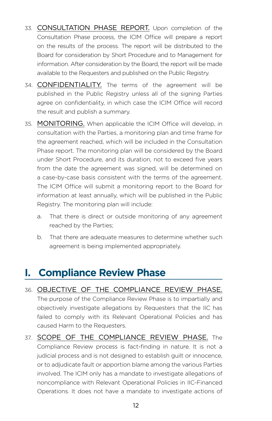- <span id="page-21-0"></span>33. CONSULTATION PHASE REPORT. Upon completion of the Consultation Phase process, the ICIM Office will prepare a report on the results of the process. The report will be distributed to the Board for consideration by Short Procedure and to Management for information. After consideration by the Board, the report will be made available to the Requesters and published on the Public Registry.
- 34. CONFIDENTIALITY. The terms of the agreement will be published in the Public Registry unless all of the signing Parties agree on confidentiality, in which case the ICIM Office will record the result and publish a summary.
- 35. MONITORING. When applicable the ICIM Office will develop, in consultation with the Parties, a monitoring plan and time frame for the agreement reached, which will be included in the Consultation Phase report. The monitoring plan will be considered by the Board under Short Procedure, and its duration, not to exceed five years from the date the agreement was signed, will be determined on a case-by-case basis consistent with the terms of the agreement. The ICIM Office will submit a monitoring report to the Board for information at least annually, which will be published in the Public Registry. The monitoring plan will include:
	- a. That there is direct or outside monitoring of any agreement reached by the Parties;
	- b. That there are adequate measures to determine whether such agreement is being implemented appropriately.

### **I. Compliance Review Phase**

- 36. OBJECTIVE OF THE COMPLIANCE REVIEW PHASE. The purpose of the Compliance Review Phase is to impartially and objectively investigate allegations by Requesters that the IIC has failed to comply with its Relevant Operational Policies and has caused Harm to the Requesters.
- 37. SCOPE OF THE COMPLIANCE REVIEW PHASE. The Compliance Review process is fact-finding in nature. It is not a judicial process and is not designed to establish guilt or innocence, or to adjudicate fault or apportion blame among the various Parties involved. The ICIM only has a mandate to investigate allegations of noncompliance with Relevant Operational Policies in IIC-Financed Operations. It does not have a mandate to investigate actions of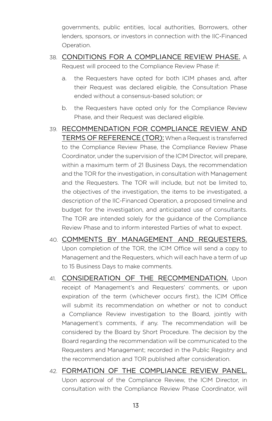governments, public entities, local authorities, Borrowers, other lenders, sponsors, or investors in connection with the IIC-Financed Operation.

- 38. CONDITIONS FOR A COMPLIANCE REVIEW PHASE. A Request will proceed to the Compliance Review Phase if:
	- a. the Requesters have opted for both ICIM phases and, after their Request was declared eligible, the Consultation Phase ended without a consensus-based solution; or
	- b. the Requesters have opted only for the Compliance Review Phase, and their Request was declared eligible.
- 39. RECOMMENDATION FOR COMPLIANCE REVIEW AND TERMS OF REFERENCE (TOR): When a Request is transferred to the Compliance Review Phase, the Compliance Review Phase Coordinator, under the supervision of the ICIM Director, will prepare, within a maximum term of 21 Business Days, the recommendation and the TOR for the investigation, in consultation with Management and the Requesters. The TOR will include, but not be limited to, the objectives of the investigation, the items to be investigated, a description of the IIC-Financed Operation, a proposed timeline and budget for the investigation, and anticipated use of consultants. The TOR are intended solely for the guidance of the Compliance Review Phase and to inform interested Parties of what to expect.
- 40. COMMENTS BY MANAGEMENT AND REQUESTERS. Upon completion of the TOR, the ICIM Office will send a copy to Management and the Requesters, which will each have a term of up to 15 Business Days to make comments.
- 41. CONSIDERATION OF THE RECOMMENDATION. Upon receipt of Management's and Requesters' comments, or upon expiration of the term (whichever occurs first), the ICIM Office will submit its recommendation on whether or not to conduct a Compliance Review investigation to the Board, jointly with Management's comments, if any. The recommendation will be considered by the Board by Short Procedure. The decision by the Board regarding the recommendation will be communicated to the Requesters and Management; recorded in the Public Registry and the recommendation and TOR published after consideration.
- 42. FORMATION OF THE COMPLIANCE REVIEW PANEL. Upon approval of the Compliance Review, the ICIM Director, in consultation with the Compliance Review Phase Coordinator, will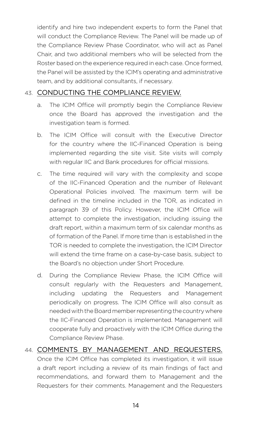identify and hire two independent experts to form the Panel that will conduct the Compliance Review. The Panel will be made up of the Compliance Review Phase Coordinator, who will act as Panel Chair, and two additional members who will be selected from the Roster based on the experience required in each case. Once formed, the Panel will be assisted by the ICIM's operating and administrative team, and by additional consultants, if necessary.

#### 43. CONDUCTING THE COMPLIANCE REVIEW.

- a. The ICIM Office will promptly begin the Compliance Review once the Board has approved the investigation and the investigation team is formed.
- b. The ICIM Office will consult with the Executive Director for the country where the IIC-Financed Operation is being implemented regarding the site visit. Site visits will comply with regular IIC and Bank procedures for official missions.
- c. The time required will vary with the complexity and scope of the IIC-Financed Operation and the number of Relevant Operational Policies involved. The maximum term will be defined in the timeline included in the TOR, as indicated in paragraph 39 of this Policy. However, the ICIM Office will attempt to complete the investigation, including issuing the draft report, within a maximum term of six calendar months as of formation of the Panel. If more time than is established in the TOR is needed to complete the investigation, the ICIM Director will extend the time frame on a case-by-case basis, subject to the Board's no objection under Short Procedure.
- d. During the Compliance Review Phase, the ICIM Office will consult regularly with the Requesters and Management, including updating the Requesters and Management periodically on progress. The ICIM Office will also consult as needed with the Board member representing the country where the IIC-Financed Operation is implemented. Management will cooperate fully and proactively with the ICIM Office during the Compliance Review Phase.

#### 44. COMMENTS BY MANAGEMENT AND REQUESTERS. Once the ICIM Office has completed its investigation, it will issue a draft report including a review of its main findings of fact and recommendations, and forward them to Management and the Requesters for their comments. Management and the Requesters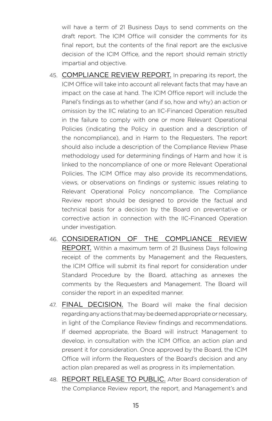will have a term of 21 Business Days to send comments on the draft report. The ICIM Office will consider the comments for its final report, but the contents of the final report are the exclusive decision of the ICIM Office, and the report should remain strictly impartial and objective.

- 45. COMPLIANCE REVIEW REPORT. In preparing its report, the ICIM Office will take into account all relevant facts that may have an impact on the case at hand. The ICIM Office report will include the Panel's findings as to whether (and if so, how and why) an action or omission by the IIC relating to an IIC-Financed Operation resulted in the failure to comply with one or more Relevant Operational Policies (indicating the Policy in question and a description of the noncompliance), and in Harm to the Requesters. The report should also include a description of the Compliance Review Phase methodology used for determining findings of Harm and how it is linked to the noncompliance of one or more Relevant Operational Policies. The ICIM Office may also provide its recommendations, views, or observations on findings or systemic issues relating to Relevant Operational Policy noncompliance. The Compliance Review report should be designed to provide the factual and technical basis for a decision by the Board on preventative or corrective action in connection with the IIC-Financed Operation under investigation.
- 46. CONSIDERATION OF THE COMPLIANCE REVIEW REPORT. Within a maximum term of 21 Business Days following receipt of the comments by Management and the Requesters, the ICIM Office will submit its final report for consideration under Standard Procedure by the Board, attaching as annexes the comments by the Requesters and Management. The Board will consider the report in an expedited manner.
- 47. FINAL DECISION. The Board will make the final decision regarding any actions that may be deemed appropriate or necessary, in light of the Compliance Review findings and recommendations. If deemed appropriate, the Board will instruct Management to develop, in consultation with the ICIM Office, an action plan and present it for consideration. Once approved by the Board, the ICIM Office will inform the Requesters of the Board's decision and any action plan prepared as well as progress in its implementation.
- 48. REPORT RELEASE TO PUBLIC. After Board consideration of the Compliance Review report, the report, and Management's and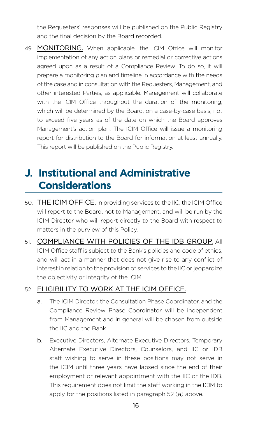<span id="page-25-0"></span>the Requesters' responses will be published on the Public Registry and the final decision by the Board recorded.

49. MONITORING. When applicable, the ICIM Office will monitor implementation of any action plans or remedial or corrective actions agreed upon as a result of a Compliance Review. To do so, it will prepare a monitoring plan and timeline in accordance with the needs of the case and in consultation with the Requesters, Management, and other interested Parties, as applicable. Management will collaborate with the ICIM Office throughout the duration of the monitoring, which will be determined by the Board, on a case-by-case basis, not to exceed five years as of the date on which the Board approves Management's action plan. The ICIM Office will issue a monitoring report for distribution to the Board for information at least annually. This report will be published on the Public Registry.

# **J. Institutional and Administrative Considerations**

- 50. THE ICIM OFFICE. In providing services to the IIC, the ICIM Office will report to the Board, not to Management, and will be run by the ICIM Director who will report directly to the Board with respect to matters in the purview of this Policy.
- 51. COMPLIANCE WITH POLICIES OF THE IDB GROUP. All ICIM Office staff is subject to the Bank's policies and code of ethics, and will act in a manner that does not give rise to any conflict of interest in relation to the provision of services to the IIC or jeopardize the objectivity or integrity of the ICIM.

#### 52. ELIGIBILITY TO WORK AT THE ICIM OFFICE.

- a. The ICIM Director, the Consultation Phase Coordinator, and the Compliance Review Phase Coordinator will be independent from Management and in general will be chosen from outside the IIC and the Bank.
- b. Executive Directors, Alternate Executive Directors, Temporary Alternate Executive Directors, Counselors, and IIC or IDB staff wishing to serve in these positions may not serve in the ICIM until three years have lapsed since the end of their employment or relevant appointment with the IIC or the IDB. This requirement does not limit the staff working in the ICIM to apply for the positions listed in paragraph 52 (a) above.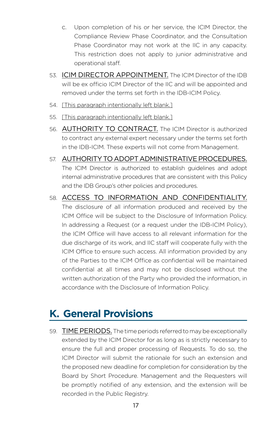- <span id="page-26-0"></span>c. Upon completion of his or her service, the ICIM Director, the Compliance Review Phase Coordinator, and the Consultation Phase Coordinator may not work at the IIC in any capacity. This restriction does not apply to junior administrative and operational staff.
- 53. ICIM DIRECTOR APPOINTMENT. The ICIM Director of the IDB will be ex officio ICIM Director of the IIC and will be appointed and removed under the terms set forth in the IDB-ICIM Policy.
- 54. [This paragraph intentionally left blank.]
- 55. [This paragraph intentionally left blank.]
- 56. AUTHORITY TO CONTRACT. The ICIM Director is authorized to contract any external expert necessary under the terms set forth in the IDB-ICIM. These experts will not come from Management.
- 57. AUTHORITY TO ADOPT ADMINISTRATIVE PROCEDURES. The ICIM Director is authorized to establish guidelines and adopt internal administrative procedures that are consistent with this Policy and the IDB Group's other policies and procedures.
- 58. ACCESS TO INFORMATION AND CONFIDENTIALITY. The disclosure of all information produced and received by the ICIM Office will be subject to the Disclosure of Information Policy. In addressing a Request (or a request under the IDB-ICIM Policy), the ICIM Office will have access to all relevant information for the due discharge of its work, and IIC staff will cooperate fully with the ICIM Office to ensure such access. All information provided by any of the Parties to the ICIM Office as confidential will be maintained confidential at all times and may not be disclosed without the written authorization of the Party who provided the information, in accordance with the Disclosure of Information Policy.

# **K. General Provisions**

59. TIME PERIODS. The time periods referred to may be exceptionally extended by the ICIM Director for as long as is strictly necessary to ensure the full and proper processing of Requests. To do so, the ICIM Director will submit the rationale for such an extension and the proposed new deadline for completion for consideration by the Board by Short Procedure. Management and the Requesters will be promptly notified of any extension, and the extension will be recorded in the Public Registry.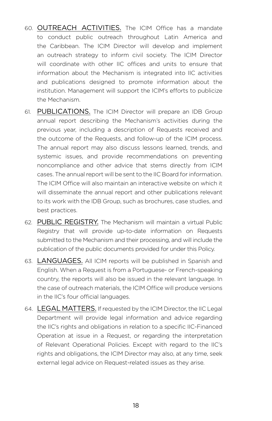- 60. OUTREACH ACTIVITIES. The ICIM Office has a mandate to conduct public outreach throughout Latin America and the Caribbean. The ICIM Director will develop and implement an outreach strategy to inform civil society. The ICIM Director will coordinate with other IIC offices and units to ensure that information about the Mechanism is integrated into IIC activities and publications designed to promote information about the institution. Management will support the ICIM's efforts to publicize the Mechanism.
- 61. PUBLICATIONS. The ICIM Director will prepare an IDB Group annual report describing the Mechanism's activities during the previous year, including a description of Requests received and the outcome of the Requests, and follow-up of the ICIM process. The annual report may also discuss lessons learned, trends, and systemic issues, and provide recommendations on preventing noncompliance and other advice that stems directly from ICIM cases. The annual report will be sent to the IIC Board for information. The ICIM Office will also maintain an interactive website on which it will disseminate the annual report and other publications relevant to its work with the IDB Group, such as brochures, case studies, and best practices.
- 62. PUBLIC REGISTRY. The Mechanism will maintain a virtual Public Registry that will provide up-to-date information on Requests submitted to the Mechanism and their processing, and will include the publication of the public documents provided for under this Policy.
- 63. LANGUAGES. All ICIM reports will be published in Spanish and English. When a Request is from a Portuguese- or French-speaking country, the reports will also be issued in the relevant language. In the case of outreach materials, the ICIM Office will produce versions in the IIC's four official languages.
- 64. LEGAL MATTERS. If requested by the ICIM Director, the IIC Legal Department will provide legal information and advice regarding the IIC's rights and obligations in relation to a specific IIC-Financed Operation at issue in a Request, or regarding the interpretation of Relevant Operational Policies. Except with regard to the IIC's rights and obligations, the ICIM Director may also, at any time, seek external legal advice on Request-related issues as they arise.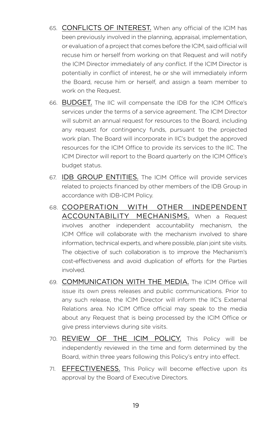- 65. CONFLICTS OF INTEREST. When any official of the ICIM has been previously involved in the planning, appraisal, implementation, or evaluation of a project that comes before the ICIM, said official will recuse him or herself from working on that Request and will notify the ICIM Director immediately of any conflict. If the ICIM Director is potentially in conflict of interest, he or she will immediately inform the Board, recuse him or herself, and assign a team member to work on the Request.
- 66. BUDGET. The IIC will compensate the IDB for the ICIM Office's services under the terms of a service agreement. The ICIM Director will submit an annual request for resources to the Board, including any request for contingency funds, pursuant to the projected work plan. The Board will incorporate in IIC's budget the approved resources for the ICIM Office to provide its services to the IIC. The ICIM Director will report to the Board quarterly on the ICIM Office's budget status.
- 67. IDB GROUP ENTITIES. The ICIM Office will provide services related to projects financed by other members of the IDB Group in accordance with IDB-ICIM Policy.
- 68. COOPERATION WITH OTHER INDEPENDENT ACCOUNTABILITY MECHANISMS. When a Request involves another independent accountability mechanism, the ICIM Office will collaborate with the mechanism involved to share information, technical experts, and where possible, plan joint site visits. The objective of such collaboration is to improve the Mechanism's cost-effectiveness and avoid duplication of efforts for the Parties involved.
- 69. COMMUNICATION WITH THE MEDIA. The ICIM Office will issue its own press releases and public communications. Prior to any such release, the ICIM Director will inform the IIC's External Relations area. No ICIM Office official may speak to the media about any Request that is being processed by the ICIM Office or give press interviews during site visits.
- 70. REVIEW OF THE ICIM POLICY. This Policy will be independently reviewed in the time and form determined by the Board, within three years following this Policy's entry into effect.
- 71. **EFFECTIVENESS.** This Policy will become effective upon its approval by the Board of Executive Directors.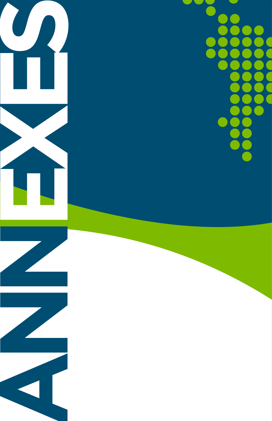**ANNES** 

**EXES**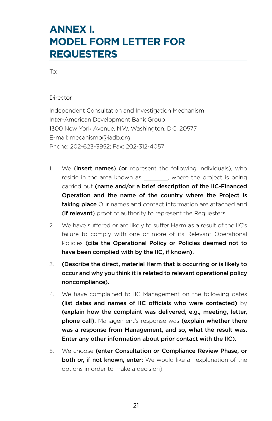# <span id="page-30-0"></span>**ANNEX I. MODEL FORM LETTER FOR REQUESTERS**

To:

Director

Independent Consultation and Investigation Mechanism Inter-American Development Bank Group 1300 New York Avenue, N.W. Washington, D.C. 20577 E-mail: [mecanismo@iadb.org](mailto:mecanismo@iadb.org) Phone: 202-623-3952; Fax: 202-312-4057

- 1. We (**insert names**) (or represent the following individuals), who reside in the area known as extending the project is being carried out (name and/or a brief description of the IIC-Financed Operation and the name of the country where the Project is taking place Our names and contact information are attached and (if relevant) proof of authority to represent the Requesters.
- 2. We have suffered or are likely to suffer Harm as a result of the IIC's failure to comply with one or more of its Relevant Operational Policies (cite the Operational Policy or Policies deemed not to have been complied with by the IIC, if known).
- 3. (Describe the direct, material Harm that is occurring or is likely to occur and why you think it is related to relevant operational policy noncompliance).
- 4. We have complained to IIC Management on the following dates (list dates and names of IIC officials who were contacted)  $by$ (explain how the complaint was delivered, e.g., meeting, letter, **phone call).** Management's response was (explain whether there was a response from Management, and so, what the result was. Enter any other information about prior contact with the IIC).
- 5. We choose (enter Consultation or Compliance Review Phase, or both or, if not known, enter: We would like an explanation of the options in order to make a decision).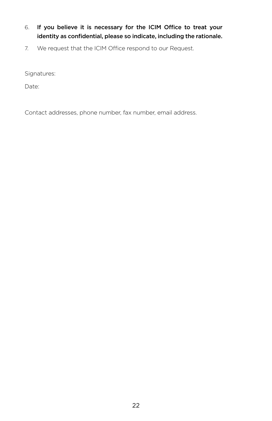- 6. If you believe it is necessary for the ICIM Office to treat your identity as confidential, please so indicate, including the rationale.
- 7. We request that the ICIM Office respond to our Request.

Signatures:

Date:

Contact addresses, phone number, fax number, email address.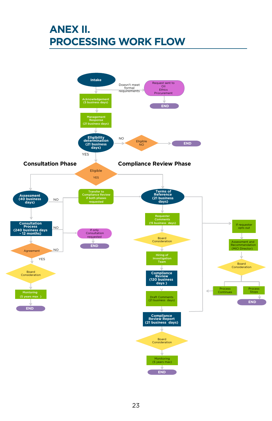# <span id="page-32-0"></span>**ANEX II. PROCESSING WORK FLOW**